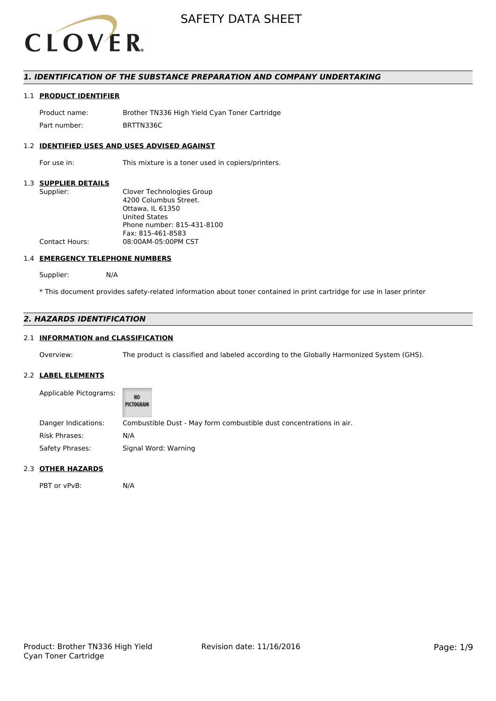

# *1. IDENTIFICATION OF THE SUBSTANCE PREPARATION AND COMPANY UNDERTAKING*

# 1.1 **PRODUCT IDENTIFIER**

Product name: Brother TN336 High Yield Cyan Toner Cartridge Part number: BRTTN336C

## 1.2 **IDENTIFIED USES AND USES ADVISED AGAINST**

For use in: This mixture is a toner used in copiers/printers.

## 1.3 **SUPPLIER DETAILS**

| Supplier:             | Clover Technologies Group  |
|-----------------------|----------------------------|
|                       | 4200 Columbus Street.      |
|                       | Ottawa. IL 61350           |
|                       | <b>United States</b>       |
|                       | Phone number: 815-431-8100 |
|                       | Fax: 815-461-8583          |
| <b>Contact Hours:</b> | 08:00AM-05:00PM CST        |
|                       |                            |

## 1.4 **EMERGENCY TELEPHONE NUMBERS**

Supplier: N/A

\* This document provides safety-related information about toner contained in print cartridge for use in laser printer

# *2. HAZARDS IDENTIFICATION*

# 2.1 **INFORMATION and CLASSIFICATION**

Overview: The product is classified and labeled according to the Globally Harmonized System (GHS).

## 2.2 **LABEL ELEMENTS**

| Applicable Pictograms: | NO<br>PICTOGRAM                                                     |
|------------------------|---------------------------------------------------------------------|
| Danger Indications:    | Combustible Dust - May form combustible dust concentrations in air. |
| Risk Phrases:          | N/A                                                                 |
| Safety Phrases:        | Signal Word: Warning                                                |

## 2.3 **OTHER HAZARDS**

PBT or vPvB: N/A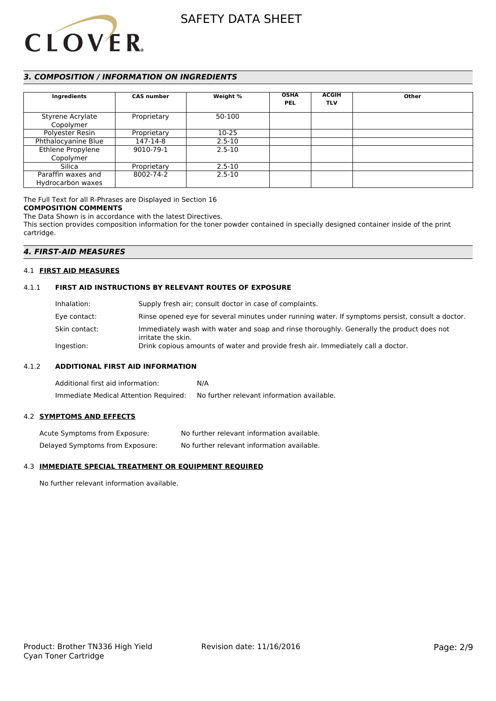

# *3. COMPOSITION / INFORMATION ON INGREDIENTS*

| Ingredients                   | <b>CAS number</b> | Weight %   | <b>OSHA</b><br><b>PEL</b> | <b>ACGIH</b><br><b>TLV</b> | Other |
|-------------------------------|-------------------|------------|---------------------------|----------------------------|-------|
| Styrene Acrylate<br>Copolymer | Proprietary       | 50-100     |                           |                            |       |
| Polyester Resin               | Proprietary       | $10 - 25$  |                           |                            |       |
| Phthalocyanine Blue           | 147-14-8          | $2.5 - 10$ |                           |                            |       |
| Ethlene Propylene             | 9010-79-1         | $2.5 - 10$ |                           |                            |       |
| Copolymer                     |                   |            |                           |                            |       |
| Silica                        | Proprietary       | $2.5 - 10$ |                           |                            |       |
| Paraffin waxes and            | 8002-74-2         | $2.5 - 10$ |                           |                            |       |
| Hydrocarbon waxes             |                   |            |                           |                            |       |

The Full Text for all R-Phrases are Displayed in Section 16

## **COMPOSITION COMMENTS**

The Data Shown is in accordance with the latest Directives.

This section provides composition information for the toner powder contained in specially designed container inside of the print cartridge.

# *4. FIRST-AID MEASURES*

## 4.1 **FIRST AID MEASURES**

## 4.1.1 **FIRST AID INSTRUCTIONS BY RELEVANT ROUTES OF EXPOSURE**

| Inhalation:     | Supply fresh air; consult doctor in case of complaints.                                                         |
|-----------------|-----------------------------------------------------------------------------------------------------------------|
| Eye contact:    | Rinse opened eye for several minutes under running water. If symptoms persist, consult a doctor.                |
| Skin contact: . | Immediately wash with water and soap and rinse thoroughly. Generally the product does not<br>irritate the skin. |
| Ingestion:      | Drink copious amounts of water and provide fresh air. Immediately call a doctor.                                |

## 4.1.2 **ADDITIONAL FIRST AID INFORMATION**

Additional first aid information: N/A Immediate Medical Attention Required: No further relevant information available.

# 4.2 **SYMPTOMS AND EFFECTS**

| Acute Symptoms from Exposure:   | No further relevant information available. |
|---------------------------------|--------------------------------------------|
| Delayed Symptoms from Exposure: | No further relevant information available. |

## 4.3 **IMMEDIATE SPECIAL TREATMENT OR EQUIPMENT REQUIRED**

No further relevant information available.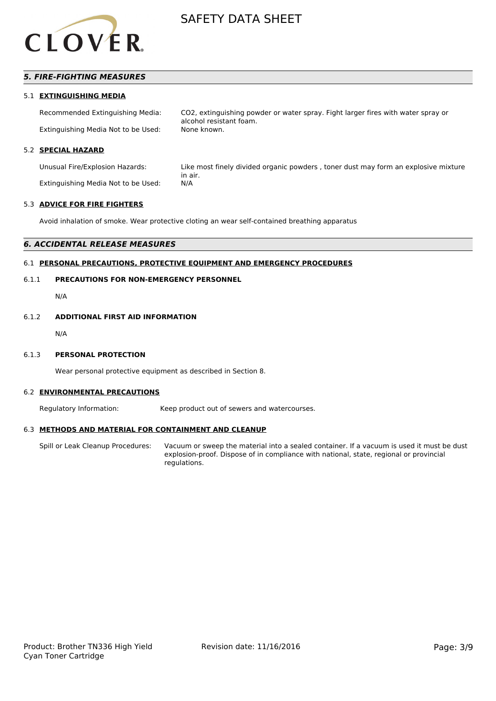

# *5. FIRE-FIGHTING MEASURES*

## 5.1 **EXTINGUISHING MEDIA**

Recommended Extinguishing Media: CO2, extinguishing powder or water spray. Fight larger fires with water spray or alcohol resistant foam. Extinguishing Media Not to be Used: None known.

## 5.2 **SPECIAL HAZARD**

Extinguishing Media Not to be Used: N/A

Unusual Fire/Explosion Hazards: Like most finely divided organic powders , toner dust may form an explosive mixture in air.

#### 5.3 **ADVICE FOR FIRE FIGHTERS**

Avoid inhalation of smoke. Wear protective cloting an wear self-contained breathing apparatus

# *6. ACCIDENTAL RELEASE MEASURES*

# 6.1 **PERSONAL PRECAUTIONS, PROTECTIVE EQUIPMENT AND EMERGENCY PROCEDURES**

# 6.1.1 **PRECAUTIONS FOR NON-EMERGENCY PERSONNEL**

N/A

#### 6.1.2 **ADDITIONAL FIRST AID INFORMATION**

N/A

## 6.1.3 **PERSONAL PROTECTION**

Wear personal protective equipment as described in Section 8.

#### 6.2 **ENVIRONMENTAL PRECAUTIONS**

Regulatory Information: Keep product out of sewers and watercourses.

## 6.3 **METHODS AND MATERIAL FOR CONTAINMENT AND CLEANUP**

Spill or Leak Cleanup Procedures: Vacuum or sweep the material into a sealed container. If a vacuum is used it must be dust explosion-proof. Dispose of in compliance with national, state, regional or provincial regulations.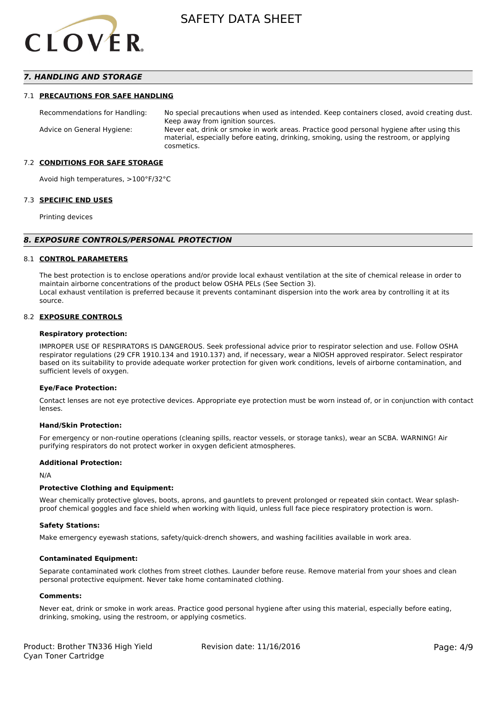

# *7. HANDLING AND STORAGE*

## 7.1 **PRECAUTIONS FOR SAFE HANDLING**

Recommendations for Handling: No special precautions when used as intended. Keep containers closed, avoid creating dust. Keep away from ignition sources. Advice on General Hygiene: Never eat, drink or smoke in work areas. Practice good personal hygiene after using this material, especially before eating, drinking, smoking, using the restroom, or applying cosmetics.

## 7.2 **CONDITIONS FOR SAFE STORAGE**

Avoid high temperatures, >100°F/32°C

#### 7.3 **SPECIFIC END USES**

Printing devices

#### *8. EXPOSURE CONTROLS/PERSONAL PROTECTION*

#### 8.1 **CONTROL PARAMETERS**

The best protection is to enclose operations and/or provide local exhaust ventilation at the site of chemical release in order to maintain airborne concentrations of the product below OSHA PELs (See Section 3). Local exhaust ventilation is preferred because it prevents contaminant dispersion into the work area by controlling it at its source.

#### 8.2 **EXPOSURE CONTROLS**

#### **Respiratory protection:**

IMPROPER USE OF RESPIRATORS IS DANGEROUS. Seek professional advice prior to respirator selection and use. Follow OSHA respirator regulations (29 CFR 1910.134 and 1910.137) and, if necessary, wear a NIOSH approved respirator. Select respirator based on its suitability to provide adequate worker protection for given work conditions, levels of airborne contamination, and sufficient levels of oxygen.

#### **Eye/Face Protection:**

Contact lenses are not eye protective devices. Appropriate eye protection must be worn instead of, or in conjunction with contact lenses.

#### **Hand/Skin Protection:**

For emergency or non-routine operations (cleaning spills, reactor vessels, or storage tanks), wear an SCBA. WARNING! Air purifying respirators do not protect worker in oxygen deficient atmospheres.

## **Additional Protection:**

N/A

## **Protective Clothing and Equipment:**

Wear chemically protective gloves, boots, aprons, and gauntlets to prevent prolonged or repeated skin contact. Wear splashproof chemical goggles and face shield when working with liquid, unless full face piece respiratory protection is worn.

#### **Safety Stations:**

Make emergency eyewash stations, safety/quick-drench showers, and washing facilities available in work area.

## **Contaminated Equipment:**

Separate contaminated work clothes from street clothes. Launder before reuse. Remove material from your shoes and clean personal protective equipment. Never take home contaminated clothing.

#### **Comments:**

Never eat, drink or smoke in work areas. Practice good personal hygiene after using this material, especially before eating, drinking, smoking, using the restroom, or applying cosmetics.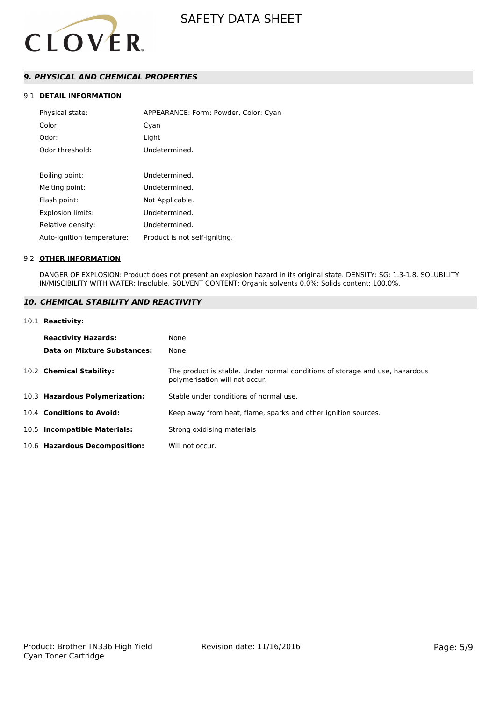

# *9. PHYSICAL AND CHEMICAL PROPERTIES*

# 9.1 **DETAIL INFORMATION**

| Physical state:            | APPEARANCE: Form: Powder, Color: Cyan |
|----------------------------|---------------------------------------|
| Color:                     | Cyan                                  |
| Odor:                      | Light                                 |
| Odor threshold:            | Undetermined.                         |
|                            |                                       |
| Boiling point:             | Undetermined.                         |
| Melting point:             | Undetermined.                         |
| Flash point:               | Not Applicable.                       |
| <b>Explosion limits:</b>   | Undetermined.                         |
| Relative density:          | Undetermined.                         |
| Auto-ignition temperature: | Product is not self-igniting.         |

## 9.2 **OTHER INFORMATION**

DANGER OF EXPLOSION: Product does not present an explosion hazard in its original state. DENSITY: SG: 1.3-1.8. SOLUBILITY IN/MISCIBILITY WITH WATER: Insoluble. SOLVENT CONTENT: Organic solvents 0.0%; Solids content: 100.0%.

# *10. CHEMICAL STABILITY AND REACTIVITY*

#### 10.1 **Reactivity:**

| <b>Reactivity Hazards:</b><br>Data on Mixture Substances: | None<br>None                                                                                                   |
|-----------------------------------------------------------|----------------------------------------------------------------------------------------------------------------|
| 10.2 Chemical Stability:                                  | The product is stable. Under normal conditions of storage and use, hazardous<br>polymerisation will not occur. |
| 10.3 Hazardous Polymerization:                            | Stable under conditions of normal use.                                                                         |
| 10.4 Conditions to Avoid:                                 | Keep away from heat, flame, sparks and other ignition sources.                                                 |
| 10.5 Incompatible Materials:                              | Strong oxidising materials                                                                                     |
| 10.6 Hazardous Decomposition:                             | Will not occur.                                                                                                |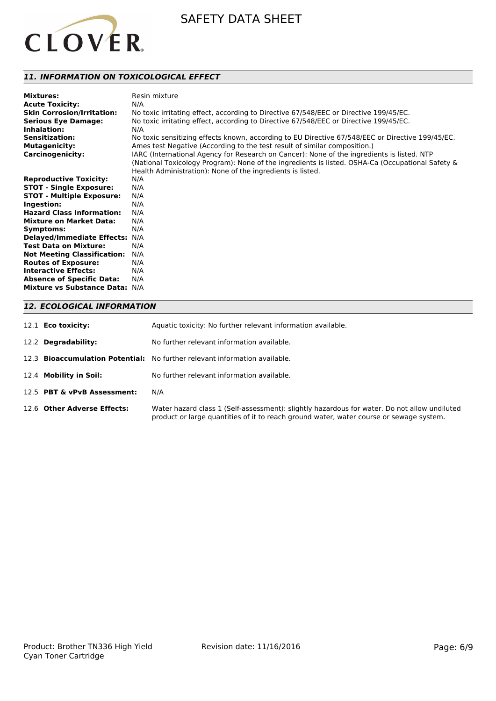

# *11. INFORMATION ON TOXICOLOGICAL EFFECT*

| <b>Mixtures:</b><br><b>Acute Toxicity:</b><br><b>Skin Corrosion/Irritation:</b><br><b>Serious Eye Damage:</b><br>Inhalation:<br><b>Sensitization:</b><br><b>Mutagenicity:</b><br><b>Carcinogenicity:</b> | Resin mixture<br>N/A<br>No toxic irritating effect, according to Directive 67/548/EEC or Directive 199/45/EC.<br>No toxic irritating effect, according to Directive 67/548/EEC or Directive 199/45/EC.<br>N/A<br>No toxic sensitizing effects known, according to EU Directive 67/548/EEC or Directive 199/45/EC.<br>Ames test Negative (According to the test result of similar composition.)<br>IARC (International Agency for Research on Cancer): None of the ingredients is listed. NTP<br>(National Toxicology Program): None of the ingredients is listed. OSHA-Ca (Occupational Safety & |
|----------------------------------------------------------------------------------------------------------------------------------------------------------------------------------------------------------|--------------------------------------------------------------------------------------------------------------------------------------------------------------------------------------------------------------------------------------------------------------------------------------------------------------------------------------------------------------------------------------------------------------------------------------------------------------------------------------------------------------------------------------------------------------------------------------------------|
|                                                                                                                                                                                                          | Health Administration): None of the ingredients is listed.                                                                                                                                                                                                                                                                                                                                                                                                                                                                                                                                       |
| <b>Reproductive Toxicity:</b>                                                                                                                                                                            | N/A                                                                                                                                                                                                                                                                                                                                                                                                                                                                                                                                                                                              |
| <b>STOT - Single Exposure:</b>                                                                                                                                                                           | N/A                                                                                                                                                                                                                                                                                                                                                                                                                                                                                                                                                                                              |
| <b>STOT - Multiple Exposure:</b>                                                                                                                                                                         | N/A                                                                                                                                                                                                                                                                                                                                                                                                                                                                                                                                                                                              |
| Ingestion:                                                                                                                                                                                               | N/A                                                                                                                                                                                                                                                                                                                                                                                                                                                                                                                                                                                              |
| <b>Hazard Class Information:</b>                                                                                                                                                                         | N/A                                                                                                                                                                                                                                                                                                                                                                                                                                                                                                                                                                                              |
| <b>Mixture on Market Data:</b>                                                                                                                                                                           | N/A                                                                                                                                                                                                                                                                                                                                                                                                                                                                                                                                                                                              |
| Symptoms:                                                                                                                                                                                                | N/A                                                                                                                                                                                                                                                                                                                                                                                                                                                                                                                                                                                              |
| <b>Delayed/Immediate Effects:</b>                                                                                                                                                                        | N/A                                                                                                                                                                                                                                                                                                                                                                                                                                                                                                                                                                                              |
| <b>Test Data on Mixture:</b>                                                                                                                                                                             | N/A                                                                                                                                                                                                                                                                                                                                                                                                                                                                                                                                                                                              |
| <b>Not Meeting Classification:</b>                                                                                                                                                                       | N/A                                                                                                                                                                                                                                                                                                                                                                                                                                                                                                                                                                                              |
| <b>Routes of Exposure:</b>                                                                                                                                                                               | N/A                                                                                                                                                                                                                                                                                                                                                                                                                                                                                                                                                                                              |
| <b>Interactive Effects:</b>                                                                                                                                                                              | N/A                                                                                                                                                                                                                                                                                                                                                                                                                                                                                                                                                                                              |
| <b>Absence of Specific Data:</b>                                                                                                                                                                         | N/A                                                                                                                                                                                                                                                                                                                                                                                                                                                                                                                                                                                              |
| Mixture vs Substance Data: N/A                                                                                                                                                                           |                                                                                                                                                                                                                                                                                                                                                                                                                                                                                                                                                                                                  |

# *12. ECOLOGICAL INFORMATION*

| 12.1 <b>Eco toxicity:</b>   | Aquatic toxicity: No further relevant information available.                                                                                                                            |
|-----------------------------|-----------------------------------------------------------------------------------------------------------------------------------------------------------------------------------------|
| 12.2 Degradability:         | No further relevant information available.                                                                                                                                              |
|                             | 12.3 <b>Bioaccumulation Potential:</b> No further relevant information available.                                                                                                       |
| 12.4 Mobility in Soil:      | No further relevant information available.                                                                                                                                              |
| 12.5 PBT & vPvB Assessment: | N/A                                                                                                                                                                                     |
| 12.6 Other Adverse Effects: | Water hazard class 1 (Self-assessment): slightly hazardous for water. Do not allow undiluted<br>product or large quantities of it to reach ground water, water course or sewage system. |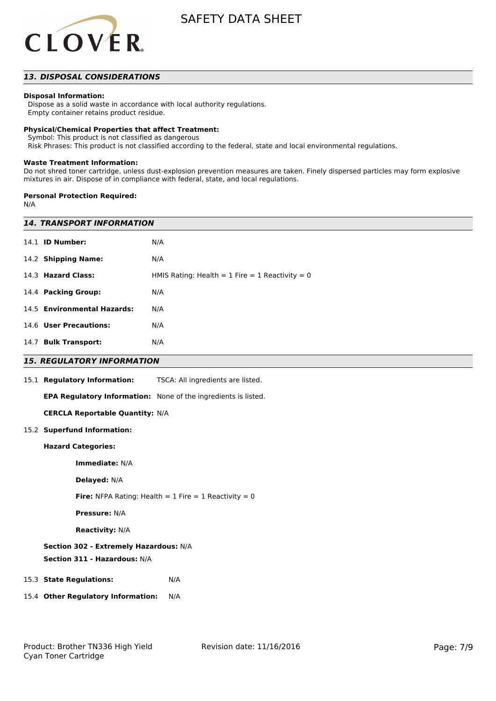

# *13. DISPOSAL CONSIDERATIONS*

## **Disposal Information:**

 Dispose as a solid waste in accordance with local authority regulations. Empty container retains product residue.

## **Physical/Chemical Properties that affect Treatment:**

Symbol: This product is not classified as dangerous

Risk Phrases: This product is not classified according to the federal, state and local environmental regulations.

## **Waste Treatment Information:**

Do not shred toner cartridge, unless dust-explosion prevention measures are taken. Finely dispersed particles may form explosive mixtures in air. Dispose of in compliance with federal, state, and local regulations.

## **Personal Protection Required:**

N/A

| <b>14. TRANSPORT INFORMATION</b>                                 |                                                                |  |
|------------------------------------------------------------------|----------------------------------------------------------------|--|
| 14.1 <b>ID Number:</b>                                           | N/A                                                            |  |
| 14.2 Shipping Name:                                              | N/A                                                            |  |
| 14.3 Hazard Class:                                               | HMIS Rating: Health = $1$ Fire = $1$ Reactivity = 0            |  |
| 14.4 Packing Group:                                              | N/A                                                            |  |
| 14.5 Environmental Hazards:                                      | N/A                                                            |  |
| 14.6 User Precautions:                                           | N/A                                                            |  |
| 14.7 Bulk Transport:                                             | N/A                                                            |  |
| <b>15. REGULATORY INFORMATION</b>                                |                                                                |  |
| 15.1 Regulatory Information:                                     | TSCA: All ingredients are listed.                              |  |
|                                                                  | EPA Regulatory Information: None of the ingredients is listed. |  |
| <b>CERCLA Reportable Quantity: N/A</b>                           |                                                                |  |
| 15.2 Superfund Information:                                      |                                                                |  |
| <b>Hazard Categories:</b>                                        |                                                                |  |
| Immediate: N/A                                                   |                                                                |  |
| Delayed: N/A                                                     |                                                                |  |
| <b>Fire:</b> NFPA Rating: Health = $1$ Fire = $1$ Reactivity = 0 |                                                                |  |
| <b>Pressure: N/A</b>                                             |                                                                |  |
| <b>Reactivity: N/A</b>                                           |                                                                |  |
| Section 302 - Extremely Hazardous: N/A                           |                                                                |  |
| Section 311 - Hazardous: N/A                                     |                                                                |  |
| 15.3 State Regulations:                                          | N/A                                                            |  |
| 15.4 Other Regulatory Information:                               | N/A                                                            |  |
|                                                                  |                                                                |  |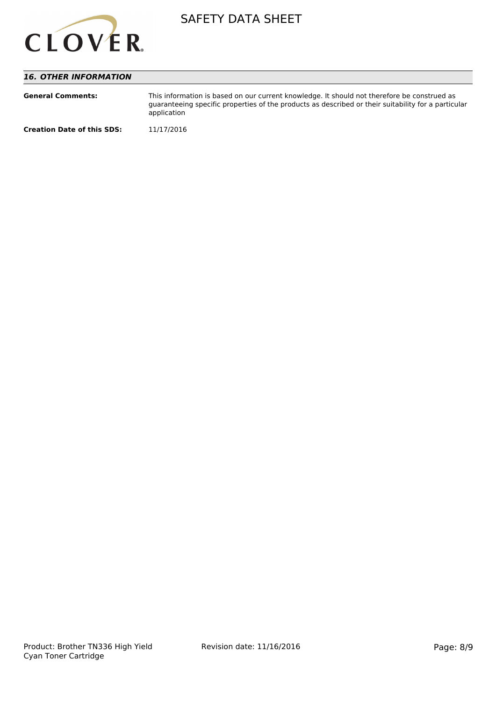

# *16. OTHER INFORMATION*

| <b>General Comments:</b>          | This information is based on our current knowledge. It should not therefore be construed as<br>quaranteeing specific properties of the products as described or their suitability for a particular<br>application |
|-----------------------------------|-------------------------------------------------------------------------------------------------------------------------------------------------------------------------------------------------------------------|
| <b>Creation Date of this SDS:</b> | 11/17/2016                                                                                                                                                                                                        |